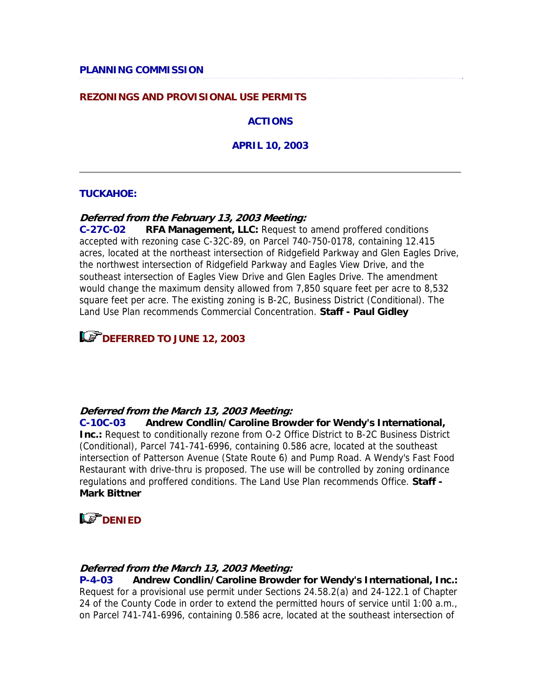#### **REZONINGS AND PROVISIONAL USE PERMITS**

**ACTIONS**

**APRIL 10, 2003**

#### **TUCKAHOE:**

#### **Deferred from the February 13, 2003 Meeting:**

**C-27C-02 RFA Management, LLC:** Request to amend proffered conditions accepted with rezoning case C-32C-89, on Parcel 740-750-0178, containing 12.415 acres, located at the northeast intersection of Ridgefield Parkway and Glen Eagles Drive, the northwest intersection of Ridgefield Parkway and Eagles View Drive, and the southeast intersection of Eagles View Drive and Glen Eagles Drive. The amendment would change the maximum density allowed from 7,850 square feet per acre to 8,532 square feet per acre. The existing zoning is B-2C, Business District (Conditional). The Land Use Plan recommends Commercial Concentration. **Staff - Paul Gidley**

**LET DEFERRED TO JUNE 12, 2003** 

#### **Deferred from the March 13, 2003 Meeting:**

**C-10C-03 Andrew Condlin/Caroline Browder for Wendy's International, Inc.:** Request to conditionally rezone from O-2 Office District to B-2C Business District (Conditional), Parcel 741-741-6996, containing 0.586 acre, located at the southeast intersection of Patterson Avenue (State Route 6) and Pump Road. A Wendy's Fast Food Restaurant with drive-thru is proposed. The use will be controlled by zoning ordinance regulations and proffered conditions. The Land Use Plan recommends Office. **Staff - Mark Bittner**



#### **Deferred from the March 13, 2003 Meeting:**

**P-4-03 Andrew Condlin/Caroline Browder for Wendy's International, Inc.:** Request for a provisional use permit under Sections 24.58.2(a) and 24-122.1 of Chapter 24 of the County Code in order to extend the permitted hours of service until 1:00 a.m., on Parcel 741-741-6996, containing 0.586 acre, located at the southeast intersection of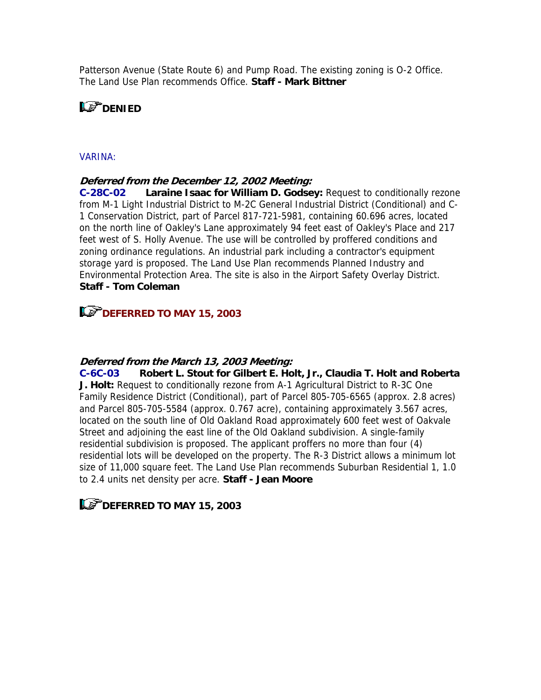Patterson Avenue (State Route 6) and Pump Road. The existing zoning is O-2 Office. The Land Use Plan recommends Office. **Staff - Mark Bittner**

### **LS** DENIED

#### VARINA:

#### **Deferred from the December 12, 2002 Meeting:**

**C-28C-02 Laraine Isaac for William D. Godsey:** Request to conditionally rezone from M-1 Light Industrial District to M-2C General Industrial District (Conditional) and C-1 Conservation District, part of Parcel 817-721-5981, containing 60.696 acres, located on the north line of Oakley's Lane approximately 94 feet east of Oakley's Place and 217 feet west of S. Holly Avenue. The use will be controlled by proffered conditions and zoning ordinance regulations. An industrial park including a contractor's equipment storage yard is proposed. The Land Use Plan recommends Planned Industry and Environmental Protection Area. The site is also in the Airport Safety Overlay District. **Staff - Tom Coleman**

### **DEFERRED TO MAY 15, 2003**

#### **Deferred from the March 13, 2003 Meeting:**

**C-6C-03 Robert L. Stout for Gilbert E. Holt, Jr., Claudia T. Holt and Roberta J. Holt:** Request to conditionally rezone from A-1 Agricultural District to R-3C One Family Residence District (Conditional), part of Parcel 805-705-6565 (approx. 2.8 acres) and Parcel 805-705-5584 (approx. 0.767 acre), containing approximately 3.567 acres, located on the south line of Old Oakland Road approximately 600 feet west of Oakvale Street and adjoining the east line of the Old Oakland subdivision. A single-family residential subdivision is proposed. The applicant proffers no more than four (4) residential lots will be developed on the property. The R-3 District allows a minimum lot size of 11,000 square feet. The Land Use Plan recommends Suburban Residential 1, 1.0 to 2.4 units net density per acre. **Staff - Jean Moore**

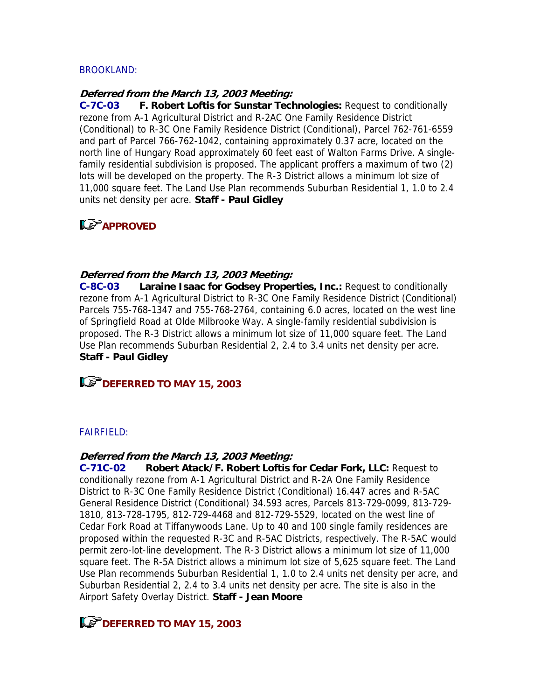#### BROOKLAND:

#### **Deferred from the March 13, 2003 Meeting:**

**C-7C-03 F. Robert Loftis for Sunstar Technologies:** Request to conditionally rezone from A-1 Agricultural District and R-2AC One Family Residence District (Conditional) to R-3C One Family Residence District (Conditional), Parcel 762-761-6559 and part of Parcel 766-762-1042, containing approximately 0.37 acre, located on the north line of Hungary Road approximately 60 feet east of Walton Farms Drive. A singlefamily residential subdivision is proposed. The applicant proffers a maximum of two (2) lots will be developed on the property. The R-3 District allows a minimum lot size of 11,000 square feet. The Land Use Plan recommends Suburban Residential 1, 1.0 to 2.4 units net density per acre. **Staff - Paul Gidley**

### **APPROVE[D](mailto:%20gid@co.henrico.va.us)**

#### **Deferred from the March 13, 2003 Meeting:**

**C-8C-03 Laraine Isaac for Godsey Properties, Inc.:** Request to conditionally rezone from A-1 Agricultural District to R-3C One Family Residence District (Conditional) Parcels 755-768-1347 and 755-768-2764, containing 6.0 acres, located on the west line of Springfield Road at Olde Milbrooke Way. A single-family residential subdivision is proposed. The R-3 District allows a minimum lot size of 11,000 square feet. The Land Use Plan recommends Suburban Residential 2, 2.4 to 3.4 units net density per acre. **Staff - Paul Gidley**

### **DEFERRED TO MAY 15, 2003**

#### FAIRFIELD:

#### **Deferred from the March 13, 2003 Meeting:**

**C-71C-02 Robert Atack/F. Robert Loftis for Cedar Fork, LLC:** Request to conditionally rezone from A-1 Agricultural District and R-2A One Family Residence District to R-3C One Family Residence District (Conditional) 16.447 acres and R-5AC General Residence District (Conditional) 34.593 acres, Parcels 813-729-0099, 813-729- 1810, 813-728-1795, 812-729-4468 and 812-729-5529, located on the west line of Cedar Fork Road at Tiffanywoods Lane. Up to 40 and 100 single family residences are proposed within the requested R-3C and R-5AC Districts, respectively. The R-5AC would permit zero-lot-line development. The R-3 District allows a minimum lot size of 11,000 square feet. The R-5A District allows a minimum lot size of 5,625 square feet. The Land Use Plan recommends Suburban Residential 1, 1.0 to 2.4 units net density per acre, and Suburban Residential 2, 2.4 to 3.4 units net density per acre. The site is also in the Airport Safety Overlay District. **Staff - Jean Moore**

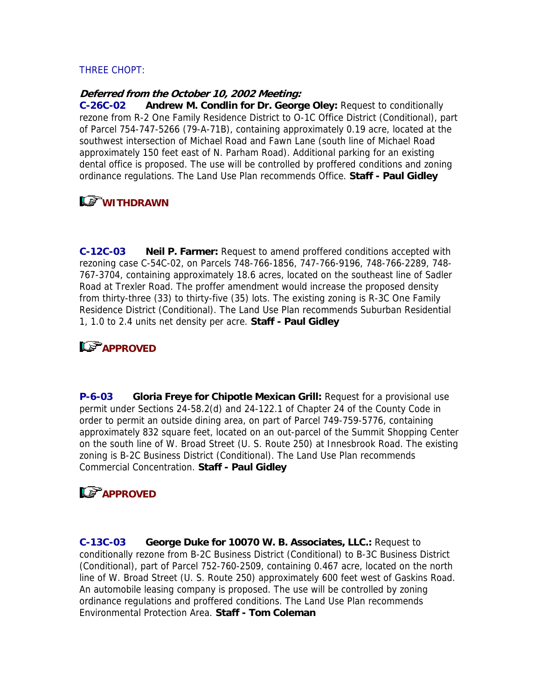#### THREE CHOPT:

#### **Deferred from the October 10, 2002 Meeting:**

**C-26C-02 Andrew M. Condlin for Dr. George Oley:** Request to conditionally rezone from R-2 One Family Residence District to O-1C Office District (Conditional), part of Parcel 754-747-5266 (79-A-71B), containing approximately 0.19 acre, located at the southwest intersection of Michael Road and Fawn Lane (south line of Michael Road approximately 150 feet east of N. Parham Road). Additional parking for an existing dental office is proposed. The use will be controlled by proffered conditions and zoning ordinance regulations. The Land Use Plan recommends Office. **Staff - Paul Gidley**

## **WITHDRAWN**

**C-12C-03 Neil P. Farmer:** Request to amend proffered conditions accepted with rezoning case C-54C-02, on Parcels 748-766-1856, 747-766-9196, 748-766-2289, 748- 767-3704, containing approximately 18.6 acres, located on the southeast line of Sadler Road at Trexler Road. The proffer amendment would increase the proposed density from thirty-three (33) to thirty-five (35) lots. The existing zoning is R-3C One Family Residence District (Conditional). The Land Use Plan recommends Suburban Residential 1, 1.0 to 2.4 units net density per acre. **Staff - Paul Gidley**

### **APPROVED**

**P-6-03 Gloria Freye for Chipotle Mexican Grill:** Request for a provisional use permit under Sections 24-58.2(d) and 24-122.1 of Chapter 24 of the County Code in order to permit an outside dining area, on part of Parcel 749-759-5776, containing approximately 832 square feet, located on an out-parcel of the Summit Shopping Center on the south line of W. Broad Street (U. S. Route 250) at Innesbrook Road. The existing zoning is B-2C Business District (Conditional). The Land Use Plan recommends Commercial Concentration. **Staff - Paul Gidley**

### **Le<sup>T</sup>APPROVED**

**C-13C-03 George Duke for 10070 W. B. Associates, LLC.:** Request to conditionally rezone from B-2C Business District (Conditional) to B-3C Business District (Conditional), part of Parcel 752-760-2509, containing 0.467 acre, located on the north line of W. Broad Street (U. S. Route 250) approximately 600 feet west of Gaskins Road. An automobile leasing company is proposed. The use will be controlled by zoning ordinance regulations and proffered conditions. The Land Use Plan recommends Environmental Protection Area. **Staff - Tom Coleman**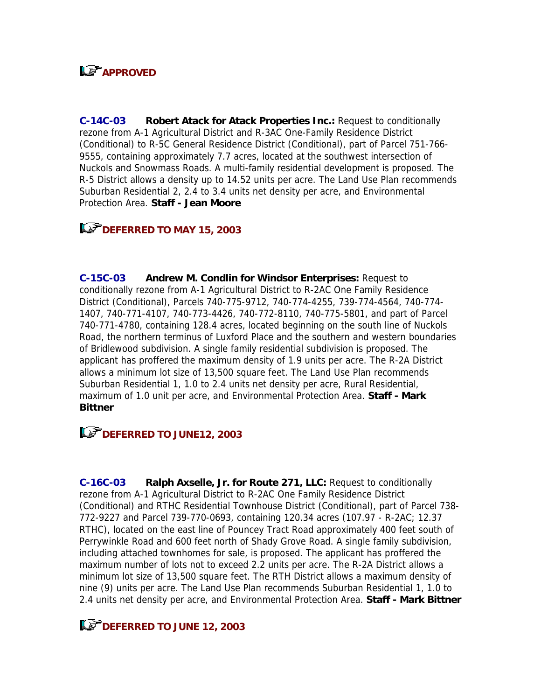# **LS** APPROVED

**C-14C-03 Robert Atack for Atack Properties Inc.:** Request to conditionally rezone from A-1 Agricultural District and R-3AC One-Family Residence District (Conditional) to R-5C General Residence District (Conditional), part of Parcel 751-766- 9555, containing approximately 7.7 acres, located at the southwest intersection of Nuckols and Snowmass Roads. A multi-family residential development is proposed. The R-5 District allows a density up to 14.52 units per acre. The Land Use Plan recommends Suburban Residential 2, 2.4 to 3.4 units net density per acre, and Environmental Protection Area. **Staff - Jean Moore**

### **DEFERRED TO MAY 15, 2003**

**C-15C-03 Andrew M. Condlin for Windsor Enterprises:** Request to conditionally rezone from A-1 Agricultural District to R-2AC One Family Residence District (Conditional), Parcels 740-775-9712, 740-774-4255, 739-774-4564, 740-774- 1407, 740-771-4107, 740-773-4426, 740-772-8110, 740-775-5801, and part of Parcel 740-771-4780, containing 128.4 acres, located beginning on the south line of Nuckols Road, the northern terminus of Luxford Place and the southern and western boundaries of Bridlewood subdivision. A single family residential subdivision is proposed. The applicant has proffered the maximum density of 1.9 units per acre. The R-2A District allows a minimum lot size of 13,500 square feet. The Land Use Plan recommends Suburban Residential 1, 1.0 to 2.4 units net density per acre, Rural Residential, maximum of 1.0 unit per acre, and Environmental Protection Area. **Staff - Mark Bittner**

**DEFERRED TO JUNE12, 2003** 

**C-16C-03 Ralph Axselle, Jr. for Route 271, LLC:** Request to conditionally rezone from A-1 Agricultural District to R-2AC One Family Residence District (Conditional) and RTHC Residential Townhouse District (Conditional), part of Parcel 738- 772-9227 and Parcel 739-770-0693, containing 120.34 acres (107.97 - R-2AC; 12.37 RTHC), located on the east line of Pouncey Tract Road approximately 400 feet south of Perrywinkle Road and 600 feet north of Shady Grove Road. A single family subdivision, including attached townhomes for sale, is proposed. The applicant has proffered the maximum number of lots not to exceed 2.2 units per acre. The R-2A District allows a minimum lot size of 13,500 square feet. The RTH District allows a maximum density of nine (9) units per acre. The Land Use Plan recommends Suburban Residential 1, 1.0 to 2.4 units net density per acre, and Environmental Protection Area. **Staff - Mark Bittner**